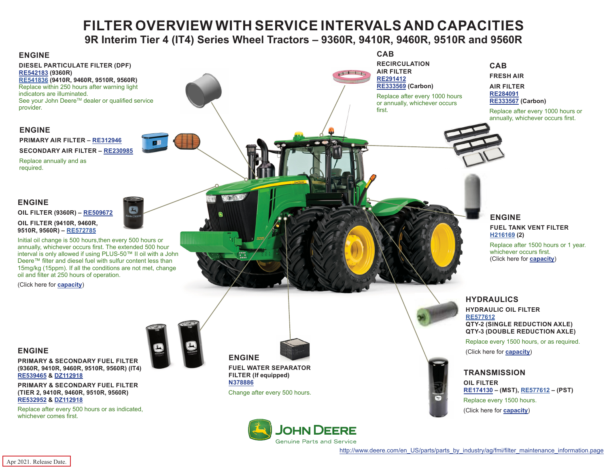## **FILTER OVERVIEW WITH SERVICE INTERVALS AND CAPACITIES 9R Interim Tier 4 (IT4) Series Wheel Tractors – 9360R, 9410R, 9460R, 9510R and 9560R**

<span id="page-0-0"></span>